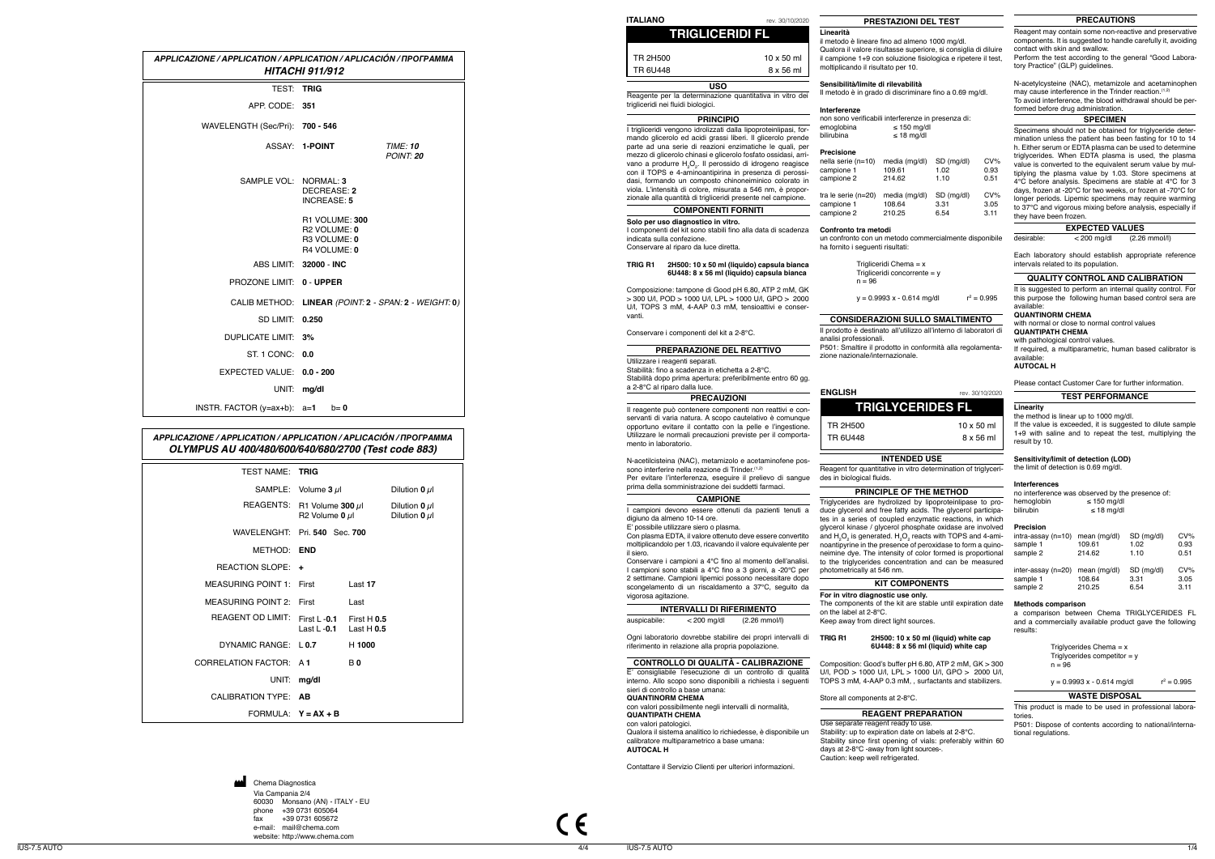|                                  | APPLICAZIONE / APPLICATION / APPLICATION / APLICACIÓN / ПРОГРАММА<br><b>HITACHI 911/912</b> |
|----------------------------------|---------------------------------------------------------------------------------------------|
| <b>TEST:</b>                     | <b>TRIG</b>                                                                                 |
| APP. CODE: 351                   |                                                                                             |
| WAVELENGTH (Sec/Pri): 700 - 546  |                                                                                             |
|                                  | ASSAY: 1-POINT<br><b>TIME: 10</b><br>POINT: 20                                              |
| SAMPLE VOL: NORMAL: 3            | DECREASE: 2<br><b>INCREASE: 5</b>                                                           |
|                                  | R1 VOLUME: 300<br>R <sub>2</sub> VOLUME: 0<br>R3 VOLUME: 0<br>R4 VOLUME: 0                  |
|                                  | ABS LIMIT: 32000 - INC                                                                      |
| PROZONE LIMIT: 0 - UPPER         |                                                                                             |
|                                  | CALIB METHOD: LINEAR (POINT: 2 - SPAN: 2 - WEIGHT: 0)                                       |
| SD LIMIT: 0.250                  |                                                                                             |
| DUPLICATE LIMIT: 3%              |                                                                                             |
| ST. 1 CONC: 0.0                  |                                                                                             |
| EXPECTED VALUE: 0.0 - 200        |                                                                                             |
|                                  | UNIT: mg/dl                                                                                 |
| INSTR. FACTOR $(y=ax+b)$ : $a=1$ | $b = 0$                                                                                     |

# *APPLICAZIONE / APPLICATION / APPLICATION / APLICACIÓN /* **ПРОГРАММА** *OLYMPUS AU 400/480/600/640/680/2700 (Test code 883)*

 $C \in$ 

4/4 IUS-7.5 AUTO 1/4

Via Campania 2/4 60030 Monsano (AN) - ITALY - EU phone +39 0731 605064<br>fax +39 0731 605672 fax +39 0731 605672 e-mail: mail@chema.com website: http://www.chema.com Chema Diagnostica

 $\mathbf{M}$ 

| <b>TEST NAME: TRIG</b>        |                                  |                                         |                    |
|-------------------------------|----------------------------------|-----------------------------------------|--------------------|
|                               | SAMPLE: Volume $3 \mu$           |                                         | Dilution 0 $\mu$ l |
| <b>REAGENTS:</b>              |                                  | R1 Volume 300 $\mu$ l<br>R2 Volume 0 µl |                    |
| WAVELENGHT: Pri. 540 Sec. 700 |                                  |                                         |                    |
| METHOD:                       | END                              |                                         |                    |
| REACTION SLOPE: +             |                                  |                                         |                    |
| MEASURING POINT 1:            | First                            | Last 17                                 |                    |
| <b>MEASURING POINT 2:</b>     | First                            | Last                                    |                    |
| <b>REAGENT OD LIMIT:</b>      | First $1 - 0.1$<br>Last L $-0.1$ | First $H$ 0.5<br>Last $H$ 0.5           |                    |
| DYNAMIC RANGE   0.7           |                                  | H 1000                                  |                    |
| <b>CORRELATION FACTOR:</b>    | A 1                              | <b>B0</b>                               |                    |
| UNIT:                         | mg/dl                            |                                         |                    |
| <b>CALIBRATION TYPE:</b>      | AB                               |                                         |                    |
| FORMULA $Y = AX + B$          |                                  |                                         |                    |
|                               |                                  |                                         |                    |

## **WASTE DISPOSAL**

This product is made to be used in professional labora tories.

P501: Dispose of contents according to national/interna tional regulations.

no interference was observed by the presence of:<br>hemoglobin ≤ 150 mg/dl hemoglobin ≤ 150 mg/dl bilirubin ≤ 18 mg/dl

| <b>ITALIANO</b>                                                                                                                                                                                                                                                         |                                                                                                                                                                                                                                                                                                                                                               | РF                                                                                                    |
|-------------------------------------------------------------------------------------------------------------------------------------------------------------------------------------------------------------------------------------------------------------------------|---------------------------------------------------------------------------------------------------------------------------------------------------------------------------------------------------------------------------------------------------------------------------------------------------------------------------------------------------------------|-------------------------------------------------------------------------------------------------------|
| rev. 30/10/2020<br><b>TRIGLICERIDI FL</b>                                                                                                                                                                                                                               | PRESTAZIONI DEL TEST<br>Linearità<br>il metodo è lineare fino ad almeno 1000 mg/dl.<br>Qualora il valore risultasse superiore, si consiglia di diluire                                                                                                                                                                                                        | Reagent may contain s<br>components. It is sugg<br>contact with skin and s<br>Perform the test accor  |
| <b>TR 2H500</b><br>$10 \times 50$ ml<br>TR 6U448<br>8 x 56 ml                                                                                                                                                                                                           | il campione 1+9 con soluzione fisiologica e ripetere il test,<br>moltiplicando il risultato per 10.                                                                                                                                                                                                                                                           | tory Practice" (GLP) gu                                                                               |
| <b>USO</b><br>Reagente per la determinazione quantitativa in vitro dei<br>trigliceridi nei fluidi biologici.                                                                                                                                                            | Sensibilità/limite di rilevabilità<br>Il metodo è in grado di discriminare fino a 0.69 mg/dl.<br>Interferenze                                                                                                                                                                                                                                                 | N-acetylcysteine (NAC<br>may cause interferenc<br>To avoid interference,<br>formed before drug ad     |
| <b>PRINCIPIO</b>                                                                                                                                                                                                                                                        | non sono verificabili interferenze in presenza di:                                                                                                                                                                                                                                                                                                            |                                                                                                       |
| I trigliceridi vengono idrolizzati dalla lipoproteinlipasi, for-<br>mando glicerolo ed acidi grassi liberi. Il glicerolo prende<br>parte ad una serie di reazioni enzimatiche le quali, per                                                                             | $\leq$ 150 mg/dl<br>emoglobina<br>$\leq$ 18 mg/dl<br>bilirubina                                                                                                                                                                                                                                                                                               | Specimens should not<br>mination unless the pa<br>h. Either serum or EDT                              |
| mezzo di glicerolo chinasi e glicerolo fosfato ossidasi, arri-<br>vano a produrre H <sub>2</sub> O <sub>2</sub> . Il perossido di idrogeno reagisce<br>con il TOPS e 4-aminoantipirina in presenza di perossi-<br>dasi, formando un composto chinoneiminico colorato in | <b>Precisione</b><br>CV%<br>nella serie (n=10)<br>media (mg/dl)<br>SD (mg/dl)<br>109.61<br>1.02<br>0.93<br>campione 1<br>campione 2<br>214.62<br>1.10<br>0.51                                                                                                                                                                                                 | triglycerides. When E<br>value is converted to t<br>tiplying the plasma va<br>4°C before analysis. \$ |
| viola. L'intensità di colore, misurata a 546 nm, è propor-<br>zionale alla quantità di trigliceridi presente nel campione.<br><b>COMPONENTI FORNITI</b>                                                                                                                 | CV%<br>SD (mg/dl)<br>tra le serie (n=20)<br>media (mg/dl)<br>campione 1<br>108.64<br>3.31<br>3.05<br>210.25<br>campione 2<br>6.54<br>3.11                                                                                                                                                                                                                     | days, frozen at -20°C f<br>longer periods. Lipemi<br>to 37°C and vigorous r                           |
| Solo per uso diagnostico in vitro.                                                                                                                                                                                                                                      |                                                                                                                                                                                                                                                                                                                                                               | they have been frozen                                                                                 |
| I componenti del kit sono stabili fino alla data di scadenza<br>indicata sulla confezione.<br>Conservare al riparo da luce diretta.                                                                                                                                     | Confronto tra metodi<br>un confronto con un metodo commercialmente disponibile<br>ha fornito i seguenti risultati:                                                                                                                                                                                                                                            | <b>EXPE</b><br>desirable:<br>< 2                                                                      |
| TRIG R1<br>2H500: 10 x 50 ml (liquido) capsula bianca<br>6U448: 8 x 56 ml (liquido) capsula bianca                                                                                                                                                                      | Trigliceridi Chema = $x$<br>Trigliceridi concorrente = $y$                                                                                                                                                                                                                                                                                                    | Each laboratory shou<br>intervals related to its<br><b>QUALITY CON'</b>                               |
| Composizione: tampone di Good pH 6.80, ATP 2 mM, GK<br>> 300 U/l, POD > 1000 U/l, LPL > 1000 U/l, GPO > 2000<br>U/I, TOPS 3 mM, 4-AAP 0.3 mM, tensioattivi e conser-                                                                                                    | $n = 96$<br>$r^2 = 0.995$<br>$y = 0.9993 x - 0.614$ mg/dl                                                                                                                                                                                                                                                                                                     | It is suggested to perf<br>this purpose the follow<br>available:                                      |
| vanti.                                                                                                                                                                                                                                                                  | <b>CONSIDERAZIONI SULLO SMALTIMENTO</b>                                                                                                                                                                                                                                                                                                                       | <b>QUANTINORM CHEM</b>                                                                                |
| Conservare i componenti del kit a 2-8°C.                                                                                                                                                                                                                                | Il prodotto è destinato all'utilizzo all'interno di laboratori di<br>analisi professionali.                                                                                                                                                                                                                                                                   | with normal or close to<br><b>QUANTIPATH CHEM/</b><br>with pathological contr                         |
| <b>PREPARAZIONE DEL REATTIVO</b>                                                                                                                                                                                                                                        | P501: Smaltire il prodotto in conformità alla regolamenta-<br>zione nazionale/internazionale.                                                                                                                                                                                                                                                                 | If required, a multipara<br>available:                                                                |
| Utilizzare i reagenti separati.<br>Stabilità: fino a scadenza in etichetta a 2-8°C.<br>Stabilità dopo prima apertura: preferibilmente entro 60 gg.                                                                                                                      |                                                                                                                                                                                                                                                                                                                                                               | <b>AUTOCAL H</b><br><b>Please contact Custon</b>                                                      |
| a 2-8°C al riparo dalla luce.                                                                                                                                                                                                                                           | <b>ENGLISH</b><br>rev. 30/10/2020                                                                                                                                                                                                                                                                                                                             |                                                                                                       |
| <b>PRECAUZIONI</b>                                                                                                                                                                                                                                                      | <b>TRIGLYCERIDES FL</b>                                                                                                                                                                                                                                                                                                                                       | TEST<br>Linearity                                                                                     |
| Il reagente può contenere componenti non reattivi e con-<br>servanti di varia natura. A scopo cautelativo è comunque                                                                                                                                                    |                                                                                                                                                                                                                                                                                                                                                               | the method is linear up                                                                               |
| opportuno evitare il contatto con la pelle e l'ingestione.<br>Utilizzare le normali precauzioni previste per il comporta-<br>mento in laboratorio.                                                                                                                      | <b>TR 2H500</b><br>$10 \times 50$ ml<br>TR 6U448<br>8 x 56 ml                                                                                                                                                                                                                                                                                                 | If the value is exceede<br>1+9 with saline and t<br>result by 10.                                     |
| N-acetilcisteina (NAC), metamizolo e acetaminofene pos-                                                                                                                                                                                                                 | <b>INTENDED USE</b>                                                                                                                                                                                                                                                                                                                                           | Sensitivity/limit of de                                                                               |
| sono interferire nella reazione di Trinder. (1,2)<br>Per evitare l'interferenza, esequire il prelievo di sangue<br>prima della somministrazione dei suddetti farmaci.                                                                                                   | Reagent for quantitative in vitro determination of triglyceri-<br>des in biological fluids.                                                                                                                                                                                                                                                                   | the limit of detection is<br><b>Interferences</b>                                                     |
| <b>CAMPIONE</b>                                                                                                                                                                                                                                                         | PRINCIPLE OF THE METHOD                                                                                                                                                                                                                                                                                                                                       | no interference was ob                                                                                |
| I campioni devono essere ottenuti da pazienti tenuti a<br>digiuno da almeno 10-14 ore.                                                                                                                                                                                  | Triglycerides are hydrolized by lipoproteinlipase to pro-<br>duce glycerol and free fatty acids. The glycerol participa-<br>tes in a series of coupled enzymatic reactions, in which                                                                                                                                                                          | hemoglobin<br>bilirubin                                                                               |
| E' possibile utilizzare siero o plasma.<br>Con plasma EDTA, il valore ottenuto deve essere convertito<br>moltiplicandolo per 1.03, ricavando il valore equivalente per<br>il siero.<br>Conservare i campioni a 4°C fino al momento dell'analisi.                        | glycerol kinase / glycerol phosphate oxidase are involved<br>and H <sub>2</sub> O <sub>2</sub> is generated. H <sub>2</sub> O <sub>2</sub> reacts with TOPS and 4-ami-<br>noantipyrine in the presence of peroxidase to form a quino-<br>neimine dye. The intensity of color formed is proportional<br>to the triglycerides concentration and can be measured | Precision<br>intra-assay (n=10) me<br>sample 1<br>10<br>sample 2<br>21                                |
| I campioni sono stabili a 4°C fino a 3 giorni, a -20°C per<br>2 settimane. Campioni lipemici possono necessitare dopo                                                                                                                                                   | photometrically at 546 nm.<br><b>KIT COMPONENTS</b>                                                                                                                                                                                                                                                                                                           | inter-assay (n=20)<br>m<br>sample 1<br>10                                                             |
| scongelamento di un riscaldamento a 37°C, seguito da<br>vigorosa agitazione.                                                                                                                                                                                            | For in vitro diagnostic use only.                                                                                                                                                                                                                                                                                                                             | sample 2<br>21                                                                                        |
| <b>INTERVALLI DI RIFERIMENTO</b><br>auspicabile:<br>$<$ 200 mg/dl<br>$(2.26 \, \text{mmol/l})$                                                                                                                                                                          | The components of the kit are stable until expiration date<br>on the label at 2-8°C.<br>Keep away from direct light sources.                                                                                                                                                                                                                                  | <b>Methods comparison</b><br>a comparison betwee<br>and a commercially av                             |
| Ogni laboratorio dovrebbe stabilire dei propri intervalli di<br>riferimento in relazione alla propria popolazione.                                                                                                                                                      | TRIG R1<br>2H500: 10 x 50 ml (liquid) white cap<br>6U448: 8 x 56 ml (liquid) white cap                                                                                                                                                                                                                                                                        | results:<br>Triglyceride                                                                              |
| <b>CONTROLLO DI QUALITA - CALIBRAZIONE</b><br>E' consigliabile l'esecuzione di un controllo di qualità<br>interno. Allo scopo sono disponibili a richiesta i seguenti                                                                                                   | Composition: Good's buffer pH 6.80, ATP 2 mM, GK > 300<br>U/I, POD > 1000 U/I, LPL > 1000 U/I, GPO > 2000 U/I,<br>TOPS 3 mM, 4-AAP 0.3 mM, , surfactants and stabilizers.                                                                                                                                                                                     | Triglyceride<br>$n = 96$<br>$y = 0.9993$                                                              |
| sieri di controllo a base umana:<br><b>QUANTINORM CHEMA</b>                                                                                                                                                                                                             | Store all components at 2-8°C.                                                                                                                                                                                                                                                                                                                                | <b>WAS</b>                                                                                            |
| con valori possibilmente negli intervalli di normalità,                                                                                                                                                                                                                 | <b>REAGENT PREPARATION</b>                                                                                                                                                                                                                                                                                                                                    | This product is made                                                                                  |
| <b>QUANTIPATH CHEMA</b>                                                                                                                                                                                                                                                 | Use separate reagent ready to use.                                                                                                                                                                                                                                                                                                                            | tories.<br>P501: Dispose of cont                                                                      |
| con valori patologici.<br>Qualora il sistema analitico lo richiedesse, è disponibile un                                                                                                                                                                                 | Stability: up to expiration date on labels at 2-8°C.                                                                                                                                                                                                                                                                                                          | tional regulations.                                                                                   |

| I DEL TEST                                                                                   |                                            | <b>PRECAUTIONS</b>                                                                                                                                                                                                                                                                                                                                                                                                                                                                                                                                                                                                                                         |  |  |
|----------------------------------------------------------------------------------------------|--------------------------------------------|------------------------------------------------------------------------------------------------------------------------------------------------------------------------------------------------------------------------------------------------------------------------------------------------------------------------------------------------------------------------------------------------------------------------------------------------------------------------------------------------------------------------------------------------------------------------------------------------------------------------------------------------------------|--|--|
| eno 1000 mg/dl.<br>veriore, si consiglia di diluire<br>fisiologica e ripetere il test,<br>I. |                                            | Reagent may contain some non-reactive and preservative<br>components. It is suggested to handle carefully it, avoiding<br>contact with skin and swallow.<br>Perform the test according to the general "Good Labora-<br>tory Practice" (GLP) guidelines.                                                                                                                                                                                                                                                                                                                                                                                                    |  |  |
| tà<br>inare fino a 0.69 mg/dl.                                                               |                                            | N-acetylcysteine (NAC), metamizole and acetaminophen<br>may cause interference in the Trinder reaction. <sup>(1,2)</sup><br>To avoid interference, the blood withdrawal should be per-<br>formed before drug administration.                                                                                                                                                                                                                                                                                                                                                                                                                               |  |  |
| ze in presenza di:                                                                           |                                            | <b>SPECIMEN</b>                                                                                                                                                                                                                                                                                                                                                                                                                                                                                                                                                                                                                                            |  |  |
| ng/dl<br>g/dl<br>SD (mg/dl)<br>(j/dl<br>1.02<br>1.10<br>(Ib\r<br>SD (mg/dl)<br>3.31<br>6.54  | CV%<br>0.93<br>0.51<br>CV%<br>3.05<br>3.11 | Specimens should not be obtained for triglyceride deter-<br>mination unless the patient has been fasting for 10 to 14<br>h. Either serum or EDTA plasma can be used to determine<br>triglycerides. When EDTA plasma is used, the plasma<br>value is converted to the equivalent serum value by mul-<br>tiplying the plasma value by 1.03. Store specimens at<br>$4^{\circ}$ C before analysis. Specimens are stable at $4^{\circ}$ C for 3<br>days, frozen at -20°C for two weeks, or frozen at -70°C for<br>longer periods. Lipemic specimens may require warming<br>to 37°C and vigorous mixing before analysis, especially if<br>they have been frozen. |  |  |
|                                                                                              |                                            | <b>EXPECTED VALUES</b>                                                                                                                                                                                                                                                                                                                                                                                                                                                                                                                                                                                                                                     |  |  |
| ommercialmente disponibile                                                                   |                                            | desirable:<br>$<$ 200 mg/dl<br>$(2.26$ mmol/l)                                                                                                                                                                                                                                                                                                                                                                                                                                                                                                                                                                                                             |  |  |
| $= x$                                                                                        |                                            | Each laboratory should establish appropriate reference<br>intervals related to its population.                                                                                                                                                                                                                                                                                                                                                                                                                                                                                                                                                             |  |  |
| $ente = v$                                                                                   |                                            | <b>QUALITY CONTROL AND CALIBRATION</b>                                                                                                                                                                                                                                                                                                                                                                                                                                                                                                                                                                                                                     |  |  |
| 4 mg/dl                                                                                      | $r^2 = 0.995$                              | It is suggested to perform an internal quality control. For<br>this purpose the following human based control sera are<br>available:<br><b>QUANTINORM CHEMA</b>                                                                                                                                                                                                                                                                                                                                                                                                                                                                                            |  |  |
| <b>LLO SMALTIMENTO</b><br>zo all'interno di laboratori di                                    |                                            | with normal or close to normal control values                                                                                                                                                                                                                                                                                                                                                                                                                                                                                                                                                                                                              |  |  |
|                                                                                              |                                            | <b>QUANTIPATH CHEMA</b><br>with pathological control values.                                                                                                                                                                                                                                                                                                                                                                                                                                                                                                                                                                                               |  |  |
| onformità alla regolamenta-<br>Ė.                                                            |                                            | If required, a multiparametric, human based calibrator is<br>available:<br><b>AUTOCAL H</b>                                                                                                                                                                                                                                                                                                                                                                                                                                                                                                                                                                |  |  |
|                                                                                              |                                            | Please contact Customer Care for further information.                                                                                                                                                                                                                                                                                                                                                                                                                                                                                                                                                                                                      |  |  |
|                                                                                              | rev. 30/10/2020                            | <b>TEST PERFORMANCE</b>                                                                                                                                                                                                                                                                                                                                                                                                                                                                                                                                                                                                                                    |  |  |
| <b>RIDES FL</b>                                                                              |                                            | Linearity<br>the method is linear up to 1000 mg/dl.                                                                                                                                                                                                                                                                                                                                                                                                                                                                                                                                                                                                        |  |  |

## **PRINCIPLE**

### **uid)** white cap .<br>uid) white cap

# **REA**

If the value is exceeded, it is suggested to dilute sample 1+9 with saline and to repeat the test, multiplying the

### **Sensitivity/limit of detection (LOD)**

the limit of detection is 0.69 mg/dl.

### **Interferences**

### **Precision**

| $intra-assay(n=10)$ | mean (mg/dl) | SD (mg/dl) | $CV\%$ |
|---------------------|--------------|------------|--------|
| sample 1            | 109.61       | 1.02       | 0.93   |
| sample 2            | 214.62       | 1.10       | 0.51   |
|                     |              |            |        |
| inter-assay (n=20)  | mean (mg/dl) | SD (mg/dl) | $CV\%$ |
| sample 1            | 108.64       | 3.31       | 3.05   |
| sample 2            | 210.25       | 6.54       | 3.11   |
|                     |              |            |        |

a comparison between Chema TRIGLYCERIDES FL and a commercially available product gave the following results:

| Triglycerides Chema = $x$      |  |
|--------------------------------|--|
| Triglycerides competitor $= y$ |  |
| $n = 96$                       |  |

 $r^2 = 0.995$ 

y = 0.9993 x - 0.614 mg/dl